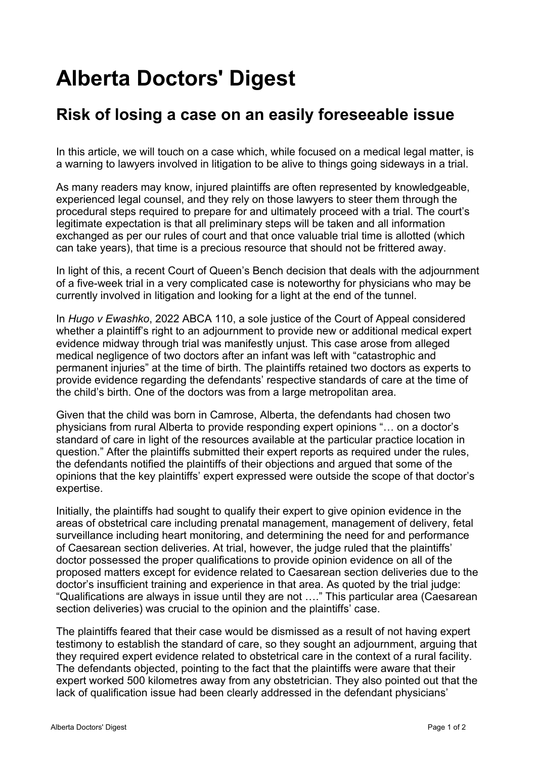## **Alberta Doctors' Digest**

## **[Risk of losing a case on an easily foreseeable issue](http://add.albertadoctors.org/issues/may-june-2022/risk-losing-case-easily-foreseeable-issue/)**

In this article, we will touch on a case which, while focused on a medical legal matter, is a warning to lawyers involved in litigation to be alive to things going sideways in a trial.

As many readers may know, injured plaintiffs are often represented by knowledgeable, experienced legal counsel, and they rely on those lawyers to steer them through the procedural steps required to prepare for and ultimately proceed with a trial. The court's legitimate expectation is that all preliminary steps will be taken and all information exchanged as per our rules of court and that once valuable trial time is allotted (which can take years), that time is a precious resource that should not be frittered away.

In light of this, a recent Court of Queen's Bench decision that deals with the adjournment of a five-week trial in a very complicated case is noteworthy for physicians who may be currently involved in litigation and looking for a light at the end of the tunnel.

In Hugo v Ewashko, 2022 ABCA 110, a sole justice of the Court of Appeal considered whether a plaintiff's right to an adjournment to provide new or additional medical expert evidence midway through trial was manifestly unjust. This case arose from alleged medical negligence of two doctors after an infant was left with "catastrophic and permanent injuries" at the time of birth. The plaintiffs retained two doctors as experts to provide evidence regarding the defendants' respective standards of care at the time of the child's birth. One of the doctors was from a large metropolitan area.

Given that the child was born in Camrose, Alberta, the defendants had chosen two physicians from rural Alberta to provide responding expert opinions "… on a doctor's standard of care in light of the resources available at the particular practice location in question." After the plaintiffs submitted their expert reports as required under the rules, the defendants notified the plaintiffs of their objections and argued that some of the opinions that the key plaintiffs' expert expressed were outside the scope of that doctor's expertise.

Initially, the plaintiffs had sought to qualify their expert to give opinion evidence in the areas of obstetrical care including prenatal management, management of delivery, fetal surveillance including heart monitoring, and determining the need for and performance of Caesarean section deliveries. At trial, however, the judge ruled that the plaintiffs' doctor possessed the proper qualifications to provide opinion evidence on all of the proposed matters except for evidence related to Caesarean section deliveries due to the doctor's insufficient training and experience in that area. As quoted by the trial judge: "Qualifications are always in issue until they are not …." This particular area (Caesarean section deliveries) was crucial to the opinion and the plaintiffs' case.

The plaintiffs feared that their case would be dismissed as a result of not having expert testimony to establish the standard of care, so they sought an adjournment, arguing that they required expert evidence related to obstetrical care in the context of a rural facility. The defendants objected, pointing to the fact that the plaintiffs were aware that their expert worked 500 kilometres away from any obstetrician. They also pointed out that the lack of qualification issue had been clearly addressed in the defendant physicians'